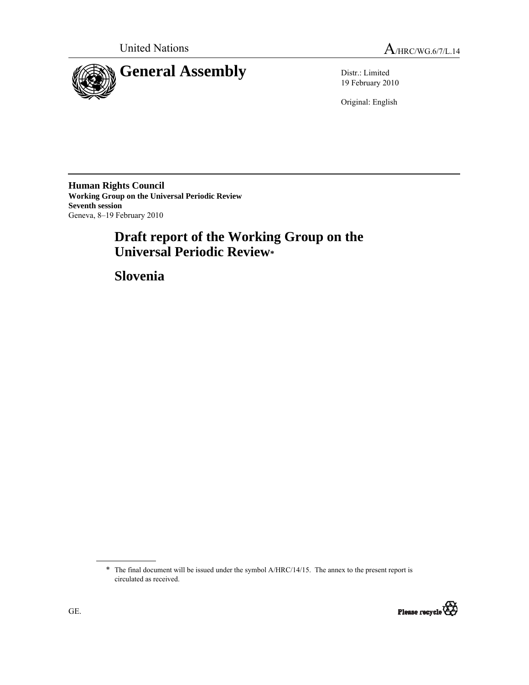

19 February 2010

Original: English

**Human Rights Council Working Group on the Universal Periodic Review Seventh session**  Geneva, 8–19 February 2010

# **Draft report of the Working Group on the Universal Periodic Review\***

 **Slovenia** 

<sup>\*</sup> The final document will be issued under the symbol A/HRC/14/15. The annex to the present report is circulated as received.

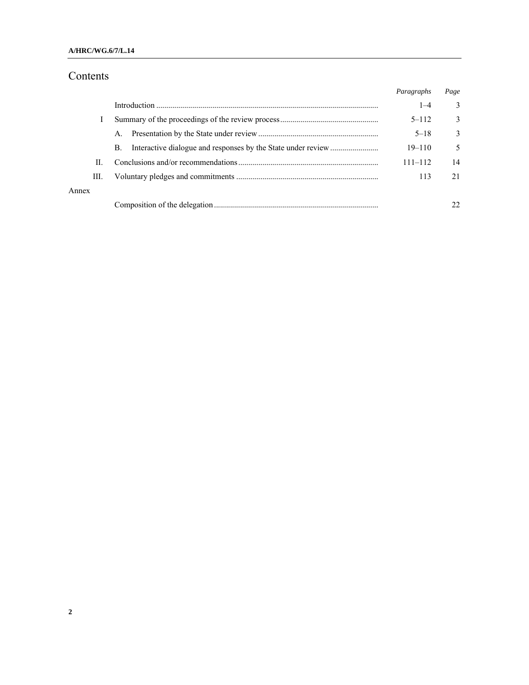# Contents

|       |                | Paragraphs  | Page          |
|-------|----------------|-------------|---------------|
|       |                | $1 - 4$     | 3             |
|       |                | $5 - 112$   | $\mathcal{E}$ |
|       | $\mathsf{A}$ . | $5 - 18$    | 3             |
|       | B.             | $19 - 110$  | 5             |
| H.    |                | $111 - 112$ | 14            |
| Ш.    |                | 113         | 21            |
| Annex |                |             |               |
|       |                |             |               |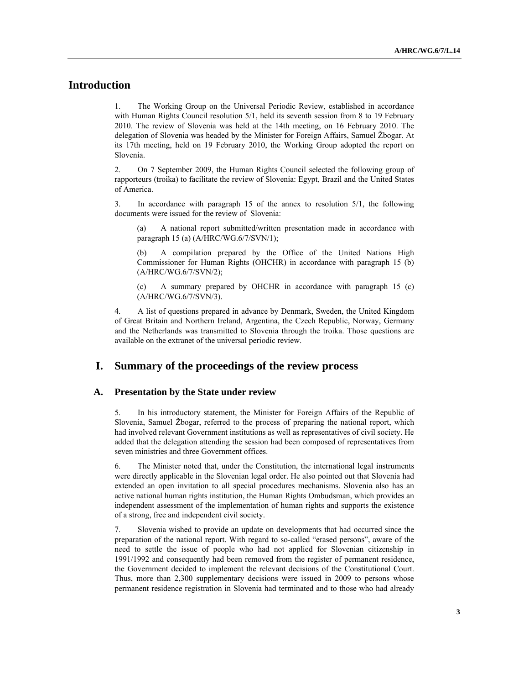# **Introduction**

1. The Working Group on the Universal Periodic Review, established in accordance with Human Rights Council resolution 5/1, held its seventh session from 8 to 19 February 2010. The review of Slovenia was held at the 14th meeting, on 16 February 2010. The delegation of Slovenia was headed by the Minister for Foreign Affairs, Samuel Žbogar. At its 17th meeting, held on 19 February 2010, the Working Group adopted the report on Slovenia.

2. On 7 September 2009, the Human Rights Council selected the following group of rapporteurs (troika) to facilitate the review of Slovenia: Egypt, Brazil and the United States of America.

3. In accordance with paragraph 15 of the annex to resolution 5/1, the following documents were issued for the review of Slovenia:

A national report submitted/written presentation made in accordance with paragraph 15 (a) (A/HRC/WG.6/7/SVN/1);

A compilation prepared by the Office of the United Nations High Commissioner for Human Rights (OHCHR) in accordance with paragraph 15 (b) (A/HRC/WG.6/7/SVN/2);

(c) A summary prepared by OHCHR in accordance with paragraph 15 (c) (A/HRC/WG.6/7/SVN/3).

4. A list of questions prepared in advance by Denmark, Sweden, the United Kingdom of Great Britain and Northern Ireland, Argentina, the Czech Republic, Norway, Germany and the Netherlands was transmitted to Slovenia through the troika. Those questions are available on the extranet of the universal periodic review.

### **I. Summary of the proceedings of the review process**

#### **A. Presentation by the State under review**

5. In his introductory statement, the Minister for Foreign Affairs of the Republic of Slovenia, Samuel Žbogar, referred to the process of preparing the national report, which had involved relevant Government institutions as well as representatives of civil society. He added that the delegation attending the session had been composed of representatives from seven ministries and three Government offices.

6. The Minister noted that, under the Constitution, the international legal instruments were directly applicable in the Slovenian legal order. He also pointed out that Slovenia had extended an open invitation to all special procedures mechanisms. Slovenia also has an active national human rights institution, the Human Rights Ombudsman, which provides an independent assessment of the implementation of human rights and supports the existence of a strong, free and independent civil society.

7. Slovenia wished to provide an update on developments that had occurred since the preparation of the national report. With regard to so-called "erased persons", aware of the need to settle the issue of people who had not applied for Slovenian citizenship in 1991/1992 and consequently had been removed from the register of permanent residence, the Government decided to implement the relevant decisions of the Constitutional Court. Thus, more than 2,300 supplementary decisions were issued in 2009 to persons whose permanent residence registration in Slovenia had terminated and to those who had already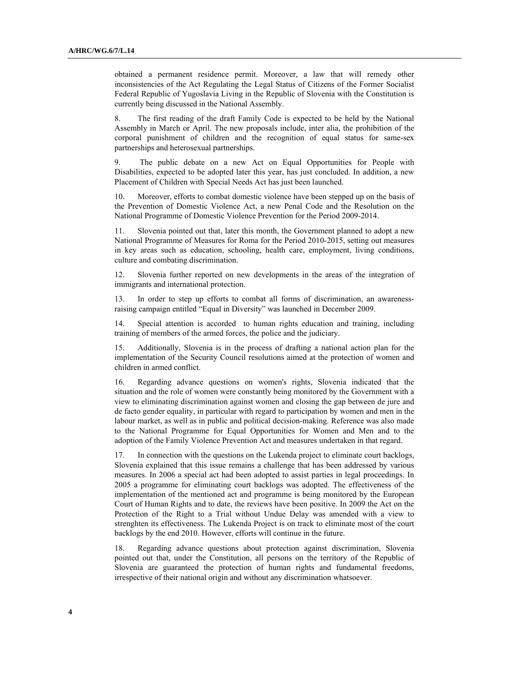obtained a permanent residence permit. Moreover, a law that will remedy other inconsistencies of the Act Regulating the Legal Status of Citizens of the Former Socialist Federal Republic of Yugoslavia Living in the Republic of Slovenia with the Constitution is currently being discussed in the National Assembly.

8. The first reading of the draft Family Code is expected to be held by the National Assembly in March or April. The new proposals include, inter alia, the prohibition of the corporal punishment of children and the recognition of equal status for same-sex partnerships and heterosexual partnerships.

9. The public debate on a new Act on Equal Opportunities for People with Disabilities, expected to be adopted later this year, has just concluded. In addition, a new Placement of Children with Special Needs Act has just been launched.

10. Moreover, efforts to combat domestic violence have been stepped up on the basis of the Prevention of Domestic Violence Act, a new Penal Code and the Resolution on the National Programme of Domestic Violence Prevention for the Period 2009-2014.

11. Slovenia pointed out that, later this month, the Government planned to adopt a new National Programme of Measures for Roma for the Period 2010-2015, setting out measures in key areas such as education, schooling, health care, employment, living conditions, culture and combating discrimination.

12. Slovenia further reported on new developments in the areas of the integration of immigrants and international protection.

13. In order to step up efforts to combat all forms of discrimination, an awarenessraising campaign entitled "Equal in Diversity" was launched in December 2009.

14. Special attention is accorded to human rights education and training, including training of members of the armed forces, the police and the judiciary.

15. Additionally, Slovenia is in the process of drafting a national action plan for the implementation of the Security Council resolutions aimed at the protection of women and children in armed conflict.

16. Regarding advance questions on women's rights, Slovenia indicated that the situation and the role of women were constantly being monitored by the Government with a view to eliminating discrimination against women and closing the gap between de jure and de facto gender equality, in particular with regard to participation by women and men in the labour market, as well as in public and political decision-making. Reference was also made to the National Programme for Equal Opportunities for Women and Men and to the adoption of the Family Violence Prevention Act and measures undertaken in that regard.

17. In connection with the questions on the Lukenda project to eliminate court backlogs, Slovenia explained that this issue remains a challenge that has been addressed by various measures. In 2006 a special act had been adopted to assist parties in legal proceedings. In 2005 a programme for eliminating court backlogs was adopted. The effectiveness of the implementation of the mentioned act and programme is being monitored by the European Court of Human Rights and to date, the reviews have been positive. In 2009 the Act on the Protection of the Right to a Trial without Undue Delay was amended with a view to strenghten its effectiveness. The Lukenda Project is on track to eliminate most of the court backlogs by the end 2010. However, efforts will continue in the future.

18. Regarding advance questions about protection against discrimination, Slovenia pointed out that, under the Constitution, all persons on the territory of the Republic of Slovenia are guaranteed the protection of human rights and fundamental freedoms, irrespective of their national origin and without any discrimination whatsoever.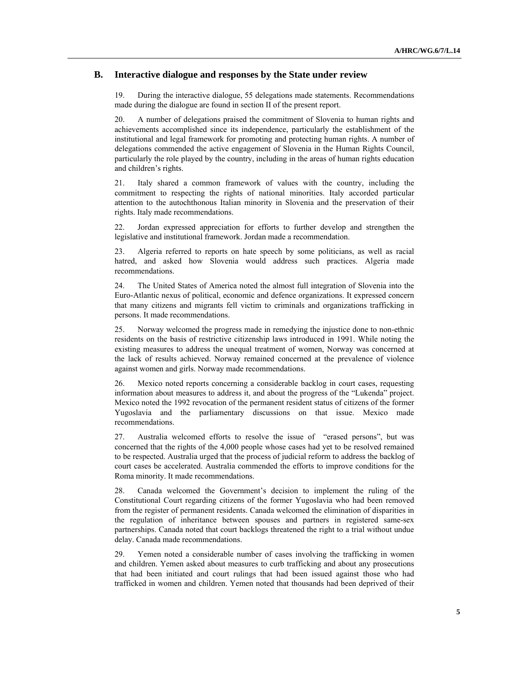#### **B. Interactive dialogue and responses by the State under review**

19. During the interactive dialogue, 55 delegations made statements. Recommendations made during the dialogue are found in section II of the present report.

20. A number of delegations praised the commitment of Slovenia to human rights and achievements accomplished since its independence, particularly the establishment of the institutional and legal framework for promoting and protecting human rights. A number of delegations commended the active engagement of Slovenia in the Human Rights Council, particularly the role played by the country, including in the areas of human rights education and children's rights.

21. Italy shared a common framework of values with the country, including the commitment to respecting the rights of national minorities. Italy accorded particular attention to the autochthonous Italian minority in Slovenia and the preservation of their rights. Italy made recommendations.

22. Jordan expressed appreciation for efforts to further develop and strengthen the legislative and institutional framework. Jordan made a recommendation.

23. Algeria referred to reports on hate speech by some politicians, as well as racial hatred, and asked how Slovenia would address such practices. Algeria made recommendations.

24. The United States of America noted the almost full integration of Slovenia into the Euro-Atlantic nexus of political, economic and defence organizations. It expressed concern that many citizens and migrants fell victim to criminals and organizations trafficking in persons. It made recommendations.

25. Norway welcomed the progress made in remedying the injustice done to non-ethnic residents on the basis of restrictive citizenship laws introduced in 1991. While noting the existing measures to address the unequal treatment of women, Norway was concerned at the lack of results achieved. Norway remained concerned at the prevalence of violence against women and girls. Norway made recommendations.

26. Mexico noted reports concerning a considerable backlog in court cases, requesting information about measures to address it, and about the progress of the "Lukenda" project. Mexico noted the 1992 revocation of the permanent resident status of citizens of the former Yugoslavia and the parliamentary discussions on that issue. Mexico made recommendations.

27. Australia welcomed efforts to resolve the issue of "erased persons", but was concerned that the rights of the 4,000 people whose cases had yet to be resolved remained to be respected. Australia urged that the process of judicial reform to address the backlog of court cases be accelerated. Australia commended the efforts to improve conditions for the Roma minority. It made recommendations.

28. Canada welcomed the Government's decision to implement the ruling of the Constitutional Court regarding citizens of the former Yugoslavia who had been removed from the register of permanent residents. Canada welcomed the elimination of disparities in the regulation of inheritance between spouses and partners in registered same-sex partnerships. Canada noted that court backlogs threatened the right to a trial without undue delay. Canada made recommendations.

29. Yemen noted a considerable number of cases involving the trafficking in women and children. Yemen asked about measures to curb trafficking and about any prosecutions that had been initiated and court rulings that had been issued against those who had trafficked in women and children. Yemen noted that thousands had been deprived of their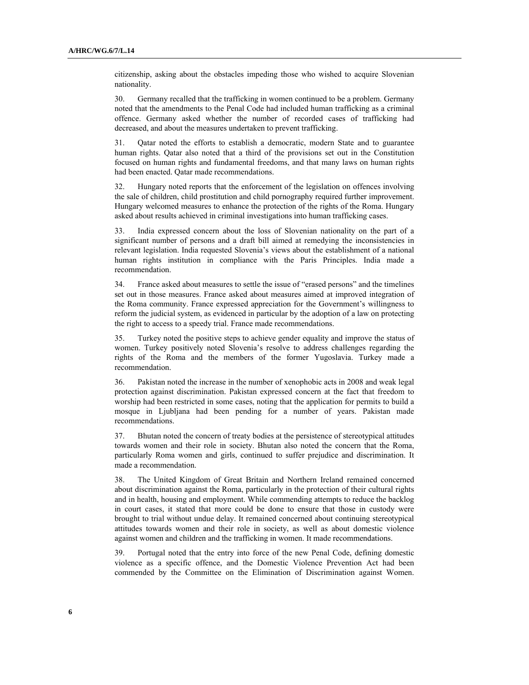citizenship, asking about the obstacles impeding those who wished to acquire Slovenian nationality.

30. Germany recalled that the trafficking in women continued to be a problem. Germany noted that the amendments to the Penal Code had included human trafficking as a criminal offence. Germany asked whether the number of recorded cases of trafficking had decreased, and about the measures undertaken to prevent trafficking.

31. Qatar noted the efforts to establish a democratic, modern State and to guarantee human rights. Qatar also noted that a third of the provisions set out in the Constitution focused on human rights and fundamental freedoms, and that many laws on human rights had been enacted. Qatar made recommendations.

32. Hungary noted reports that the enforcement of the legislation on offences involving the sale of children, child prostitution and child pornography required further improvement. Hungary welcomed measures to enhance the protection of the rights of the Roma. Hungary asked about results achieved in criminal investigations into human trafficking cases.

33. India expressed concern about the loss of Slovenian nationality on the part of a significant number of persons and a draft bill aimed at remedying the inconsistencies in relevant legislation. India requested Slovenia's views about the establishment of a national human rights institution in compliance with the Paris Principles. India made a recommendation.

34. France asked about measures to settle the issue of "erased persons" and the timelines set out in those measures. France asked about measures aimed at improved integration of the Roma community. France expressed appreciation for the Government's willingness to reform the judicial system, as evidenced in particular by the adoption of a law on protecting the right to access to a speedy trial. France made recommendations.

35. Turkey noted the positive steps to achieve gender equality and improve the status of women. Turkey positively noted Slovenia's resolve to address challenges regarding the rights of the Roma and the members of the former Yugoslavia. Turkey made a recommendation.

36. Pakistan noted the increase in the number of xenophobic acts in 2008 and weak legal protection against discrimination. Pakistan expressed concern at the fact that freedom to worship had been restricted in some cases, noting that the application for permits to build a mosque in Ljubljana had been pending for a number of years. Pakistan made recommendations.

37. Bhutan noted the concern of treaty bodies at the persistence of stereotypical attitudes towards women and their role in society. Bhutan also noted the concern that the Roma, particularly Roma women and girls, continued to suffer prejudice and discrimination. It made a recommendation.

38. The United Kingdom of Great Britain and Northern Ireland remained concerned about discrimination against the Roma, particularly in the protection of their cultural rights and in health, housing and employment. While commending attempts to reduce the backlog in court cases, it stated that more could be done to ensure that those in custody were brought to trial without undue delay. It remained concerned about continuing stereotypical attitudes towards women and their role in society, as well as about domestic violence against women and children and the trafficking in women. It made recommendations.

39. Portugal noted that the entry into force of the new Penal Code, defining domestic violence as a specific offence, and the Domestic Violence Prevention Act had been commended by the Committee on the Elimination of Discrimination against Women.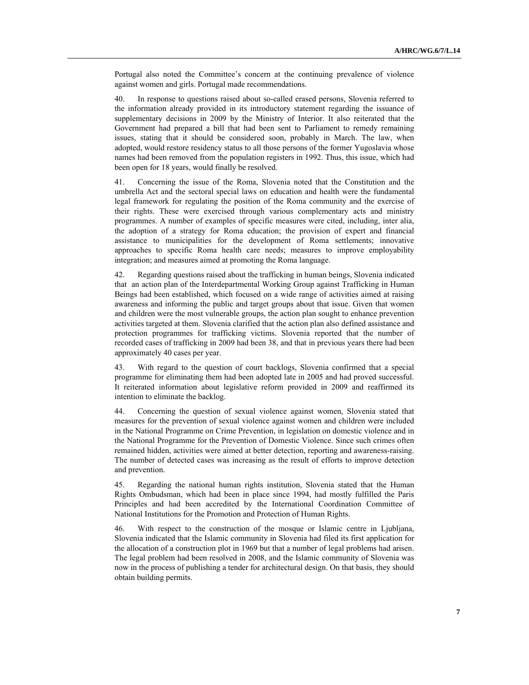Portugal also noted the Committee's concern at the continuing prevalence of violence against women and girls. Portugal made recommendations.

40. In response to questions raised about so-called erased persons, Slovenia referred to the information already provided in its introductory statement regarding the issuance of supplementary decisions in 2009 by the Ministry of Interior. It also reiterated that the Government had prepared a bill that had been sent to Parliament to remedy remaining issues, stating that it should be considered soon, probably in March. The law, when adopted, would restore residency status to all those persons of the former Yugoslavia whose names had been removed from the population registers in 1992. Thus, this issue, which had been open for 18 years, would finally be resolved.

41. Concerning the issue of the Roma, Slovenia noted that the Constitution and the umbrella Act and the sectoral special laws on education and health were the fundamental legal framework for regulating the position of the Roma community and the exercise of their rights. These were exercised through various complementary acts and ministry programmes. A number of examples of specific measures were cited, including, inter alia, the adoption of a strategy for Roma education; the provision of expert and financial assistance to municipalities for the development of Roma settlements; innovative approaches to specific Roma health care needs; measures to improve employability integration; and measures aimed at promoting the Roma language.

42. Regarding questions raised about the trafficking in human beings, Slovenia indicated that an action plan of the Interdepartmental Working Group against Trafficking in Human Beings had been established, which focused on a wide range of activities aimed at raising awareness and informing the public and target groups about that issue. Given that women and children were the most vulnerable groups, the action plan sought to enhance prevention activities targeted at them. Slovenia clarified that the action plan also defined assistance and protection programmes for trafficking victims. Slovenia reported that the number of recorded cases of trafficking in 2009 had been 38, and that in previous years there had been approximately 40 cases per year.

43. With regard to the question of court backlogs, Slovenia confirmed that a special programme for eliminating them had been adopted late in 2005 and had proved successful. It reiterated information about legislative reform provided in 2009 and reaffirmed its intention to eliminate the backlog.

44. Concerning the question of sexual violence against women, Slovenia stated that measures for the prevention of sexual violence against women and children were included in the National Programme on Crime Prevention, in legislation on domestic violence and in the National Programme for the Prevention of Domestic Violence. Since such crimes often remained hidden, activities were aimed at better detection, reporting and awareness-raising. The number of detected cases was increasing as the result of efforts to improve detection and prevention.

45. Regarding the national human rights institution, Slovenia stated that the Human Rights Ombudsman, which had been in place since 1994, had mostly fulfilled the Paris Principles and had been accredited by the International Coordination Committee of National Institutions for the Promotion and Protection of Human Rights.

46. With respect to the construction of the mosque or Islamic centre in Ljubljana, Slovenia indicated that the Islamic community in Slovenia had filed its first application for the allocation of a construction plot in 1969 but that a number of legal problems had arisen. The legal problem had been resolved in 2008, and the Islamic community of Slovenia was now in the process of publishing a tender for architectural design. On that basis, they should obtain building permits.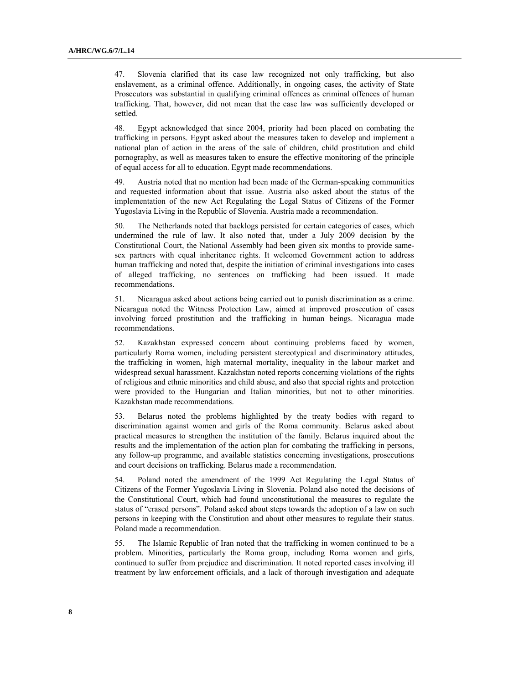47. Slovenia clarified that its case law recognized not only trafficking, but also enslavement, as a criminal offence. Additionally, in ongoing cases, the activity of State Prosecutors was substantial in qualifying criminal offences as criminal offences of human trafficking. That, however, did not mean that the case law was sufficiently developed or settled.

48. Egypt acknowledged that since 2004, priority had been placed on combating the trafficking in persons. Egypt asked about the measures taken to develop and implement a national plan of action in the areas of the sale of children, child prostitution and child pornography, as well as measures taken to ensure the effective monitoring of the principle of equal access for all to education. Egypt made recommendations.

49. Austria noted that no mention had been made of the German-speaking communities and requested information about that issue. Austria also asked about the status of the implementation of the new Act Regulating the Legal Status of Citizens of the Former Yugoslavia Living in the Republic of Slovenia. Austria made a recommendation.

50. The Netherlands noted that backlogs persisted for certain categories of cases, which undermined the rule of law. It also noted that, under a July 2009 decision by the Constitutional Court, the National Assembly had been given six months to provide samesex partners with equal inheritance rights. It welcomed Government action to address human trafficking and noted that, despite the initiation of criminal investigations into cases of alleged trafficking, no sentences on trafficking had been issued. It made recommendations.

51. Nicaragua asked about actions being carried out to punish discrimination as a crime. Nicaragua noted the Witness Protection Law, aimed at improved prosecution of cases involving forced prostitution and the trafficking in human beings. Nicaragua made recommendations.

52. Kazakhstan expressed concern about continuing problems faced by women, particularly Roma women, including persistent stereotypical and discriminatory attitudes, the trafficking in women, high maternal mortality, inequality in the labour market and widespread sexual harassment. Kazakhstan noted reports concerning violations of the rights of religious and ethnic minorities and child abuse, and also that special rights and protection were provided to the Hungarian and Italian minorities, but not to other minorities. Kazakhstan made recommendations.

53. Belarus noted the problems highlighted by the treaty bodies with regard to discrimination against women and girls of the Roma community. Belarus asked about practical measures to strengthen the institution of the family. Belarus inquired about the results and the implementation of the action plan for combating the trafficking in persons, any follow-up programme, and available statistics concerning investigations, prosecutions and court decisions on trafficking. Belarus made a recommendation.

54. Poland noted the amendment of the 1999 Act Regulating the Legal Status of Citizens of the Former Yugoslavia Living in Slovenia. Poland also noted the decisions of the Constitutional Court, which had found unconstitutional the measures to regulate the status of "erased persons". Poland asked about steps towards the adoption of a law on such persons in keeping with the Constitution and about other measures to regulate their status. Poland made a recommendation.

55. The Islamic Republic of Iran noted that the trafficking in women continued to be a problem. Minorities, particularly the Roma group, including Roma women and girls, continued to suffer from prejudice and discrimination. It noted reported cases involving ill treatment by law enforcement officials, and a lack of thorough investigation and adequate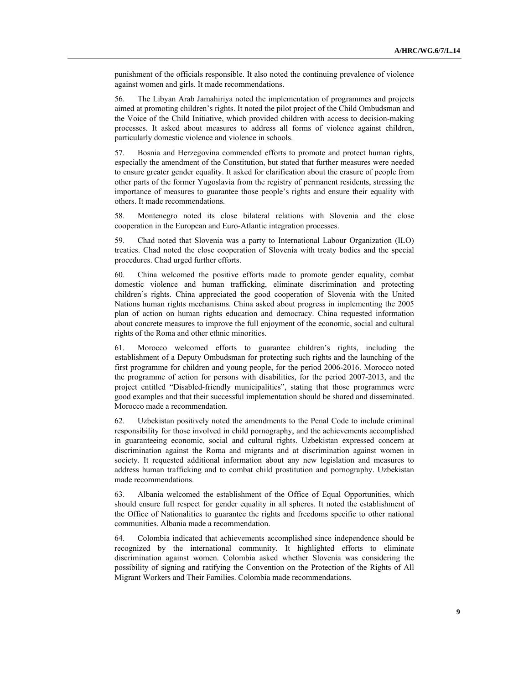punishment of the officials responsible. It also noted the continuing prevalence of violence against women and girls. It made recommendations.

56. The Libyan Arab Jamahiriya noted the implementation of programmes and projects aimed at promoting children's rights. It noted the pilot project of the Child Ombudsman and the Voice of the Child Initiative, which provided children with access to decision-making processes. It asked about measures to address all forms of violence against children, particularly domestic violence and violence in schools.

57. Bosnia and Herzegovina commended efforts to promote and protect human rights, especially the amendment of the Constitution, but stated that further measures were needed to ensure greater gender equality. It asked for clarification about the erasure of people from other parts of the former Yugoslavia from the registry of permanent residents, stressing the importance of measures to guarantee those people's rights and ensure their equality with others. It made recommendations.

58. Montenegro noted its close bilateral relations with Slovenia and the close cooperation in the European and Euro-Atlantic integration processes.

59. Chad noted that Slovenia was a party to International Labour Organization (ILO) treaties. Chad noted the close cooperation of Slovenia with treaty bodies and the special procedures. Chad urged further efforts.

60. China welcomed the positive efforts made to promote gender equality, combat domestic violence and human trafficking, eliminate discrimination and protecting children's rights. China appreciated the good cooperation of Slovenia with the United Nations human rights mechanisms. China asked about progress in implementing the 2005 plan of action on human rights education and democracy. China requested information about concrete measures to improve the full enjoyment of the economic, social and cultural rights of the Roma and other ethnic minorities.

61. Morocco welcomed efforts to guarantee children's rights, including the establishment of a Deputy Ombudsman for protecting such rights and the launching of the first programme for children and young people, for the period 2006-2016. Morocco noted the programme of action for persons with disabilities, for the period 2007-2013, and the project entitled "Disabled-friendly municipalities", stating that those programmes were good examples and that their successful implementation should be shared and disseminated. Morocco made a recommendation.

62. Uzbekistan positively noted the amendments to the Penal Code to include criminal responsibility for those involved in child pornography, and the achievements accomplished in guaranteeing economic, social and cultural rights. Uzbekistan expressed concern at discrimination against the Roma and migrants and at discrimination against women in society. It requested additional information about any new legislation and measures to address human trafficking and to combat child prostitution and pornography. Uzbekistan made recommendations.

63. Albania welcomed the establishment of the Office of Equal Opportunities, which should ensure full respect for gender equality in all spheres. It noted the establishment of the Office of Nationalities to guarantee the rights and freedoms specific to other national communities. Albania made a recommendation.

64. Colombia indicated that achievements accomplished since independence should be recognized by the international community. It highlighted efforts to eliminate discrimination against women. Colombia asked whether Slovenia was considering the possibility of signing and ratifying the Convention on the Protection of the Rights of All Migrant Workers and Their Families. Colombia made recommendations.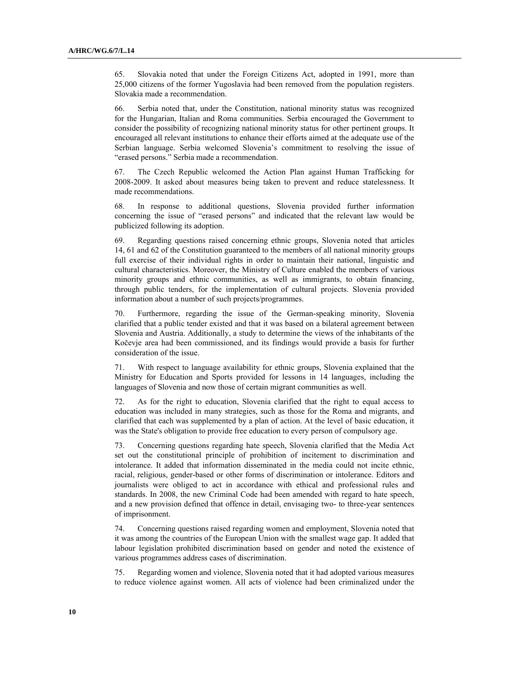65. Slovakia noted that under the Foreign Citizens Act, adopted in 1991, more than 25,000 citizens of the former Yugoslavia had been removed from the population registers. Slovakia made a recommendation.

66. Serbia noted that, under the Constitution, national minority status was recognized for the Hungarian, Italian and Roma communities. Serbia encouraged the Government to consider the possibility of recognizing national minority status for other pertinent groups. It encouraged all relevant institutions to enhance their efforts aimed at the adequate use of the Serbian language. Serbia welcomed Slovenia's commitment to resolving the issue of "erased persons." Serbia made a recommendation.

67. The Czech Republic welcomed the Action Plan against Human Trafficking for 2008-2009. It asked about measures being taken to prevent and reduce statelessness. It made recommendations.

68. In response to additional questions, Slovenia provided further information concerning the issue of "erased persons" and indicated that the relevant law would be publicized following its adoption.

69. Regarding questions raised concerning ethnic groups, Slovenia noted that articles 14, 61 and 62 of the Constitution guaranteed to the members of all national minority groups full exercise of their individual rights in order to maintain their national, linguistic and cultural characteristics. Moreover, the Ministry of Culture enabled the members of various minority groups and ethnic communities, as well as immigrants, to obtain financing, through public tenders, for the implementation of cultural projects. Slovenia provided information about a number of such projects/programmes.

70. Furthermore, regarding the issue of the German-speaking minority, Slovenia clarified that a public tender existed and that it was based on a bilateral agreement between Slovenia and Austria. Additionally, a study to determine the views of the inhabitants of the Kočevje area had been commissioned, and its findings would provide a basis for further consideration of the issue.

71. With respect to language availability for ethnic groups, Slovenia explained that the Ministry for Education and Sports provided for lessons in 14 languages, including the languages of Slovenia and now those of certain migrant communities as well.

72. As for the right to education, Slovenia clarified that the right to equal access to education was included in many strategies, such as those for the Roma and migrants, and clarified that each was supplemented by a plan of action. At the level of basic education, it was the State's obligation to provide free education to every person of compulsory age.

73. Concerning questions regarding hate speech, Slovenia clarified that the Media Act set out the constitutional principle of prohibition of incitement to discrimination and intolerance. It added that information disseminated in the media could not incite ethnic, racial, religious, gender-based or other forms of discrimination or intolerance. Editors and journalists were obliged to act in accordance with ethical and professional rules and standards. In 2008, the new Criminal Code had been amended with regard to hate speech, and a new provision defined that offence in detail, envisaging two- to three-year sentences of imprisonment.

74. Concerning questions raised regarding women and employment, Slovenia noted that it was among the countries of the European Union with the smallest wage gap. It added that labour legislation prohibited discrimination based on gender and noted the existence of various programmes address cases of discrimination.

75. Regarding women and violence, Slovenia noted that it had adopted various measures to reduce violence against women. All acts of violence had been criminalized under the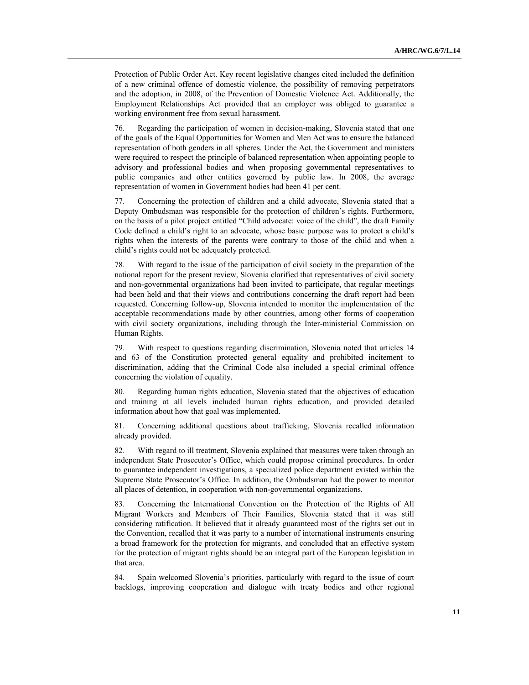Protection of Public Order Act. Key recent legislative changes cited included the definition of a new criminal offence of domestic violence, the possibility of removing perpetrators and the adoption, in 2008, of the Prevention of Domestic Violence Act. Additionally, the Employment Relationships Act provided that an employer was obliged to guarantee a working environment free from sexual harassment.

76. Regarding the participation of women in decision-making, Slovenia stated that one of the goals of the Equal Opportunities for Women and Men Act was to ensure the balanced representation of both genders in all spheres. Under the Act, the Government and ministers were required to respect the principle of balanced representation when appointing people to advisory and professional bodies and when proposing governmental representatives to public companies and other entities governed by public law. In 2008, the average representation of women in Government bodies had been 41 per cent.

77. Concerning the protection of children and a child advocate, Slovenia stated that a Deputy Ombudsman was responsible for the protection of children's rights. Furthermore, on the basis of a pilot project entitled "Child advocate: voice of the child", the draft Family Code defined a child's right to an advocate, whose basic purpose was to protect a child's rights when the interests of the parents were contrary to those of the child and when a child's rights could not be adequately protected.

78. With regard to the issue of the participation of civil society in the preparation of the national report for the present review, Slovenia clarified that representatives of civil society and non-governmental organizations had been invited to participate, that regular meetings had been held and that their views and contributions concerning the draft report had been requested. Concerning follow-up, Slovenia intended to monitor the implementation of the acceptable recommendations made by other countries, among other forms of cooperation with civil society organizations, including through the Inter-ministerial Commission on Human Rights.

79. With respect to questions regarding discrimination, Slovenia noted that articles 14 and 63 of the Constitution protected general equality and prohibited incitement to discrimination, adding that the Criminal Code also included a special criminal offence concerning the violation of equality.

80. Regarding human rights education, Slovenia stated that the objectives of education and training at all levels included human rights education, and provided detailed information about how that goal was implemented.

81. Concerning additional questions about trafficking, Slovenia recalled information already provided.

82. With regard to ill treatment, Slovenia explained that measures were taken through an independent State Prosecutor's Office, which could propose criminal procedures. In order to guarantee independent investigations, a specialized police department existed within the Supreme State Prosecutor's Office. In addition, the Ombudsman had the power to monitor all places of detention, in cooperation with non-governmental organizations.

83. Concerning the International Convention on the Protection of the Rights of All Migrant Workers and Members of Their Families, Slovenia stated that it was still considering ratification. It believed that it already guaranteed most of the rights set out in the Convention, recalled that it was party to a number of international instruments ensuring a broad framework for the protection for migrants, and concluded that an effective system for the protection of migrant rights should be an integral part of the European legislation in that area.

84. Spain welcomed Slovenia's priorities, particularly with regard to the issue of court backlogs, improving cooperation and dialogue with treaty bodies and other regional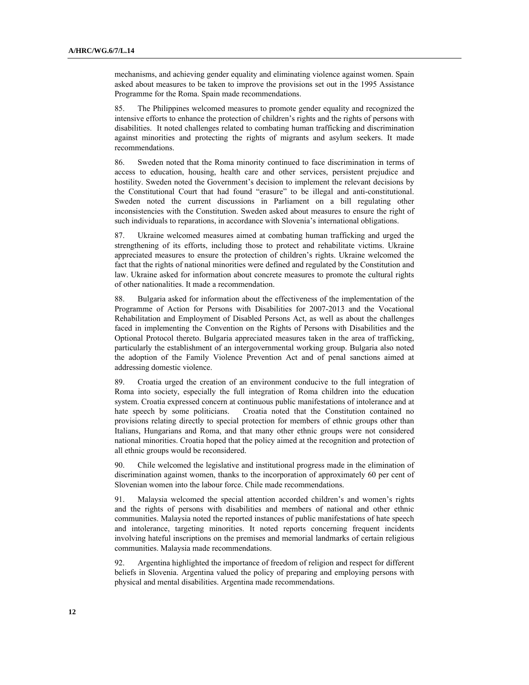mechanisms, and achieving gender equality and eliminating violence against women. Spain asked about measures to be taken to improve the provisions set out in the 1995 Assistance Programme for the Roma. Spain made recommendations.

85. The Philippines welcomed measures to promote gender equality and recognized the intensive efforts to enhance the protection of children's rights and the rights of persons with disabilities. It noted challenges related to combating human trafficking and discrimination against minorities and protecting the rights of migrants and asylum seekers. It made recommendations.

86. Sweden noted that the Roma minority continued to face discrimination in terms of access to education, housing, health care and other services, persistent prejudice and hostility. Sweden noted the Government's decision to implement the relevant decisions by the Constitutional Court that had found "erasure" to be illegal and anti-constitutional. Sweden noted the current discussions in Parliament on a bill regulating other inconsistencies with the Constitution. Sweden asked about measures to ensure the right of such individuals to reparations, in accordance with Slovenia's international obligations.

87. Ukraine welcomed measures aimed at combating human trafficking and urged the strengthening of its efforts, including those to protect and rehabilitate victims. Ukraine appreciated measures to ensure the protection of children's rights. Ukraine welcomed the fact that the rights of national minorities were defined and regulated by the Constitution and law. Ukraine asked for information about concrete measures to promote the cultural rights of other nationalities. It made a recommendation.

88. Bulgaria asked for information about the effectiveness of the implementation of the Programme of Action for Persons with Disabilities for 2007-2013 and the Vocational Rehabilitation and Employment of Disabled Persons Act, as well as about the challenges faced in implementing the Convention on the Rights of Persons with Disabilities and the Optional Protocol thereto. Bulgaria appreciated measures taken in the area of trafficking, particularly the establishment of an intergovernmental working group. Bulgaria also noted the adoption of the Family Violence Prevention Act and of penal sanctions aimed at addressing domestic violence.

89. Croatia urged the creation of an environment conducive to the full integration of Roma into society, especially the full integration of Roma children into the education system. Croatia expressed concern at continuous public manifestations of intolerance and at hate speech by some politicians. Croatia noted that the Constitution contained no provisions relating directly to special protection for members of ethnic groups other than Italians, Hungarians and Roma, and that many other ethnic groups were not considered national minorities. Croatia hoped that the policy aimed at the recognition and protection of all ethnic groups would be reconsidered.

90. Chile welcomed the legislative and institutional progress made in the elimination of discrimination against women, thanks to the incorporation of approximately 60 per cent of Slovenian women into the labour force. Chile made recommendations.

91. Malaysia welcomed the special attention accorded children's and women's rights and the rights of persons with disabilities and members of national and other ethnic communities. Malaysia noted the reported instances of public manifestations of hate speech and intolerance, targeting minorities. It noted reports concerning frequent incidents involving hateful inscriptions on the premises and memorial landmarks of certain religious communities. Malaysia made recommendations.

92. Argentina highlighted the importance of freedom of religion and respect for different beliefs in Slovenia. Argentina valued the policy of preparing and employing persons with physical and mental disabilities. Argentina made recommendations.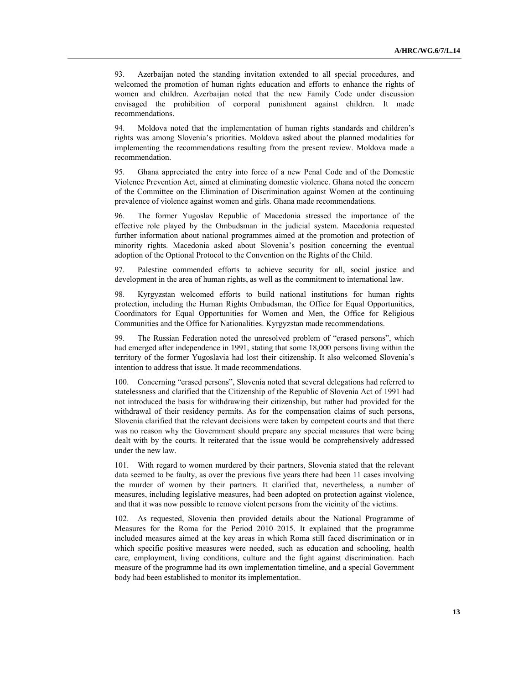93. Azerbaijan noted the standing invitation extended to all special procedures, and welcomed the promotion of human rights education and efforts to enhance the rights of women and children. Azerbaijan noted that the new Family Code under discussion envisaged the prohibition of corporal punishment against children. It made recommendations.

94. Moldova noted that the implementation of human rights standards and children's rights was among Slovenia's priorities. Moldova asked about the planned modalities for implementing the recommendations resulting from the present review. Moldova made a recommendation.

95. Ghana appreciated the entry into force of a new Penal Code and of the Domestic Violence Prevention Act, aimed at eliminating domestic violence. Ghana noted the concern of the Committee on the Elimination of Discrimination against Women at the continuing prevalence of violence against women and girls. Ghana made recommendations.

96. The former Yugoslav Republic of Macedonia stressed the importance of the effective role played by the Ombudsman in the judicial system. Macedonia requested further information about national programmes aimed at the promotion and protection of minority rights. Macedonia asked about Slovenia's position concerning the eventual adoption of the Optional Protocol to the Convention on the Rights of the Child.

97. Palestine commended efforts to achieve security for all, social justice and development in the area of human rights, as well as the commitment to international law.

98. Kyrgyzstan welcomed efforts to build national institutions for human rights protection, including the Human Rights Ombudsman, the Office for Equal Opportunities, Coordinators for Equal Opportunities for Women and Men, the Office for Religious Communities and the Office for Nationalities. Kyrgyzstan made recommendations.

99. The Russian Federation noted the unresolved problem of "erased persons", which had emerged after independence in 1991, stating that some 18,000 persons living within the territory of the former Yugoslavia had lost their citizenship. It also welcomed Slovenia's intention to address that issue. It made recommendations.

100. Concerning "erased persons", Slovenia noted that several delegations had referred to statelessness and clarified that the Citizenship of the Republic of Slovenia Act of 1991 had not introduced the basis for withdrawing their citizenship, but rather had provided for the withdrawal of their residency permits. As for the compensation claims of such persons, Slovenia clarified that the relevant decisions were taken by competent courts and that there was no reason why the Government should prepare any special measures that were being dealt with by the courts. It reiterated that the issue would be comprehensively addressed under the new law.

101. With regard to women murdered by their partners, Slovenia stated that the relevant data seemed to be faulty, as over the previous five years there had been 11 cases involving the murder of women by their partners. It clarified that, nevertheless, a number of measures, including legislative measures, had been adopted on protection against violence, and that it was now possible to remove violent persons from the vicinity of the victims.

102. As requested, Slovenia then provided details about the National Programme of Measures for the Roma for the Period 2010–2015. It explained that the programme included measures aimed at the key areas in which Roma still faced discrimination or in which specific positive measures were needed, such as education and schooling, health care, employment, living conditions, culture and the fight against discrimination. Each measure of the programme had its own implementation timeline, and a special Government body had been established to monitor its implementation.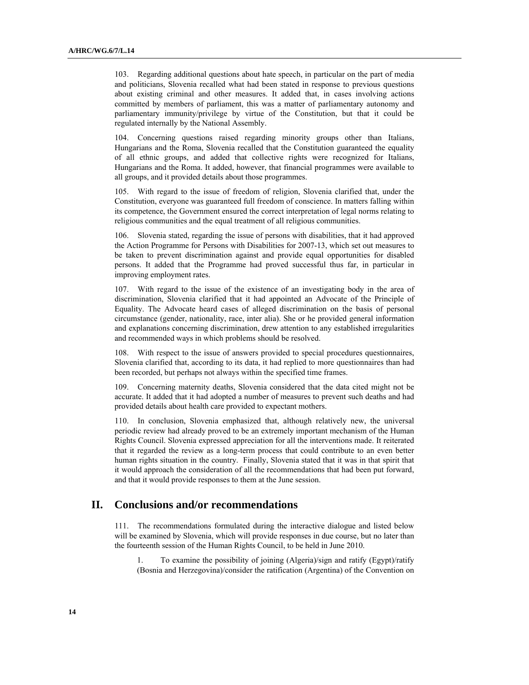103. Regarding additional questions about hate speech, in particular on the part of media and politicians, Slovenia recalled what had been stated in response to previous questions about existing criminal and other measures. It added that, in cases involving actions committed by members of parliament, this was a matter of parliamentary autonomy and parliamentary immunity/privilege by virtue of the Constitution, but that it could be regulated internally by the National Assembly.

104. Concerning questions raised regarding minority groups other than Italians, Hungarians and the Roma, Slovenia recalled that the Constitution guaranteed the equality of all ethnic groups, and added that collective rights were recognized for Italians, Hungarians and the Roma. It added, however, that financial programmes were available to all groups, and it provided details about those programmes.

105. With regard to the issue of freedom of religion, Slovenia clarified that, under the Constitution, everyone was guaranteed full freedom of conscience. In matters falling within its competence, the Government ensured the correct interpretation of legal norms relating to religious communities and the equal treatment of all religious communities.

106. Slovenia stated, regarding the issue of persons with disabilities, that it had approved the Action Programme for Persons with Disabilities for 2007-13, which set out measures to be taken to prevent discrimination against and provide equal opportunities for disabled persons. It added that the Programme had proved successful thus far, in particular in improving employment rates.

107. With regard to the issue of the existence of an investigating body in the area of discrimination, Slovenia clarified that it had appointed an Advocate of the Principle of Equality. The Advocate heard cases of alleged discrimination on the basis of personal circumstance (gender, nationality, race, inter alia). She or he provided general information and explanations concerning discrimination, drew attention to any established irregularities and recommended ways in which problems should be resolved.

108. With respect to the issue of answers provided to special procedures questionnaires, Slovenia clarified that, according to its data, it had replied to more questionnaires than had been recorded, but perhaps not always within the specified time frames.

109. Concerning maternity deaths, Slovenia considered that the data cited might not be accurate. It added that it had adopted a number of measures to prevent such deaths and had provided details about health care provided to expectant mothers.

110. In conclusion, Slovenia emphasized that, although relatively new, the universal periodic review had already proved to be an extremely important mechanism of the Human Rights Council. Slovenia expressed appreciation for all the interventions made. It reiterated that it regarded the review as a long-term process that could contribute to an even better human rights situation in the country. Finally, Slovenia stated that it was in that spirit that it would approach the consideration of all the recommendations that had been put forward, and that it would provide responses to them at the June session.

# **II. Conclusions and/or recommendations**

111. The recommendations formulated during the interactive dialogue and listed below will be examined by Slovenia, which will provide responses in due course, but no later than the fourteenth session of the Human Rights Council, to be held in June 2010.

1. To examine the possibility of joining (Algeria)/sign and ratify (Egypt)/ratify (Bosnia and Herzegovina)/consider the ratification (Argentina) of the Convention on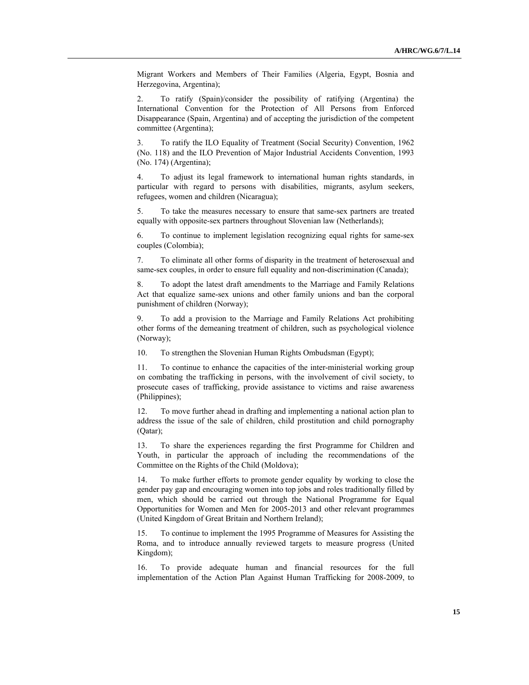Migrant Workers and Members of Their Families (Algeria, Egypt, Bosnia and Herzegovina, Argentina);

2. To ratify (Spain)/consider the possibility of ratifying (Argentina) the International Convention for the Protection of All Persons from Enforced Disappearance (Spain, Argentina) and of accepting the jurisdiction of the competent committee (Argentina);

3. To ratify the ILO Equality of Treatment (Social Security) Convention, 1962 (No. 118) and the ILO Prevention of Major Industrial Accidents Convention, 1993 (No. 174) (Argentina);

4. To adjust its legal framework to international human rights standards, in particular with regard to persons with disabilities, migrants, asylum seekers, refugees, women and children (Nicaragua);

5. To take the measures necessary to ensure that same-sex partners are treated equally with opposite-sex partners throughout Slovenian law (Netherlands);

6. To continue to implement legislation recognizing equal rights for same-sex couples (Colombia);

7. To eliminate all other forms of disparity in the treatment of heterosexual and same-sex couples, in order to ensure full equality and non-discrimination (Canada);

8. To adopt the latest draft amendments to the Marriage and Family Relations Act that equalize same-sex unions and other family unions and ban the corporal punishment of children (Norway);

9. To add a provision to the Marriage and Family Relations Act prohibiting other forms of the demeaning treatment of children, such as psychological violence (Norway);

10. To strengthen the Slovenian Human Rights Ombudsman (Egypt);

11. To continue to enhance the capacities of the inter-ministerial working group on combating the trafficking in persons, with the involvement of civil society, to prosecute cases of trafficking, provide assistance to victims and raise awareness (Philippines);

12. To move further ahead in drafting and implementing a national action plan to address the issue of the sale of children, child prostitution and child pornography (Qatar);

13. To share the experiences regarding the first Programme for Children and Youth, in particular the approach of including the recommendations of the Committee on the Rights of the Child (Moldova);

14. To make further efforts to promote gender equality by working to close the gender pay gap and encouraging women into top jobs and roles traditionally filled by men, which should be carried out through the National Programme for Equal Opportunities for Women and Men for 2005-2013 and other relevant programmes (United Kingdom of Great Britain and Northern Ireland);

15. To continue to implement the 1995 Programme of Measures for Assisting the Roma, and to introduce annually reviewed targets to measure progress (United Kingdom);

16. To provide adequate human and financial resources for the full implementation of the Action Plan Against Human Trafficking for 2008-2009, to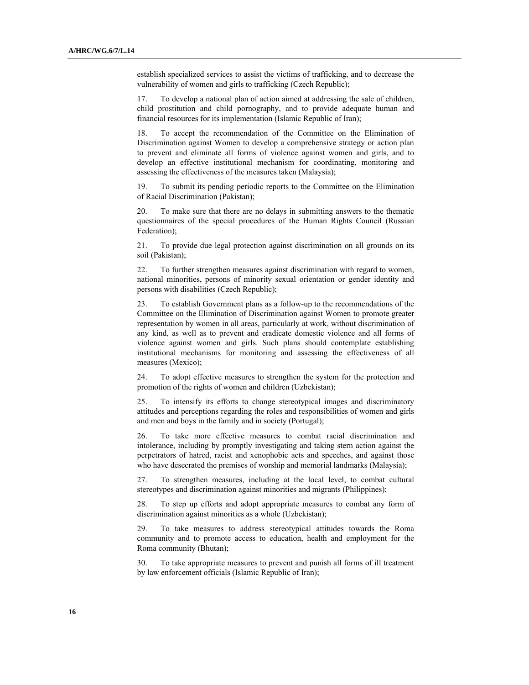establish specialized services to assist the victims of trafficking, and to decrease the vulnerability of women and girls to trafficking (Czech Republic);

17. To develop a national plan of action aimed at addressing the sale of children, child prostitution and child pornography, and to provide adequate human and financial resources for its implementation (Islamic Republic of Iran);

18. To accept the recommendation of the Committee on the Elimination of Discrimination against Women to develop a comprehensive strategy or action plan to prevent and eliminate all forms of violence against women and girls, and to develop an effective institutional mechanism for coordinating, monitoring and assessing the effectiveness of the measures taken (Malaysia);

19. To submit its pending periodic reports to the Committee on the Elimination of Racial Discrimination (Pakistan);

20. To make sure that there are no delays in submitting answers to the thematic questionnaires of the special procedures of the Human Rights Council (Russian Federation);

21. To provide due legal protection against discrimination on all grounds on its soil (Pakistan);

22. To further strengthen measures against discrimination with regard to women, national minorities, persons of minority sexual orientation or gender identity and persons with disabilities (Czech Republic);

23. To establish Government plans as a follow-up to the recommendations of the Committee on the Elimination of Discrimination against Women to promote greater representation by women in all areas, particularly at work, without discrimination of any kind, as well as to prevent and eradicate domestic violence and all forms of violence against women and girls. Such plans should contemplate establishing institutional mechanisms for monitoring and assessing the effectiveness of all measures (Mexico);

24. To adopt effective measures to strengthen the system for the protection and promotion of the rights of women and children (Uzbekistan);

25. To intensify its efforts to change stereotypical images and discriminatory attitudes and perceptions regarding the roles and responsibilities of women and girls and men and boys in the family and in society (Portugal);

26. To take more effective measures to combat racial discrimination and intolerance, including by promptly investigating and taking stern action against the perpetrators of hatred, racist and xenophobic acts and speeches, and against those who have desecrated the premises of worship and memorial landmarks (Malaysia);

27. To strengthen measures, including at the local level, to combat cultural stereotypes and discrimination against minorities and migrants (Philippines);

28. To step up efforts and adopt appropriate measures to combat any form of discrimination against minorities as a whole (Uzbekistan);

29. To take measures to address stereotypical attitudes towards the Roma community and to promote access to education, health and employment for the Roma community (Bhutan);

30. To take appropriate measures to prevent and punish all forms of ill treatment by law enforcement officials (Islamic Republic of Iran);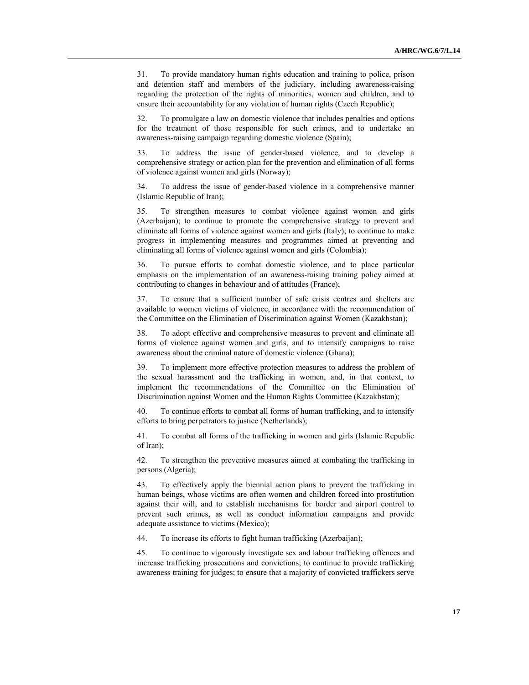31. To provide mandatory human rights education and training to police, prison and detention staff and members of the judiciary, including awareness-raising regarding the protection of the rights of minorities, women and children, and to ensure their accountability for any violation of human rights (Czech Republic);

32. To promulgate a law on domestic violence that includes penalties and options for the treatment of those responsible for such crimes, and to undertake an awareness-raising campaign regarding domestic violence (Spain);

33. To address the issue of gender-based violence, and to develop a comprehensive strategy or action plan for the prevention and elimination of all forms of violence against women and girls (Norway);

34. To address the issue of gender-based violence in a comprehensive manner (Islamic Republic of Iran);

35. To strengthen measures to combat violence against women and girls (Azerbaijan); to continue to promote the comprehensive strategy to prevent and eliminate all forms of violence against women and girls (Italy); to continue to make progress in implementing measures and programmes aimed at preventing and eliminating all forms of violence against women and girls (Colombia);

36. To pursue efforts to combat domestic violence, and to place particular emphasis on the implementation of an awareness-raising training policy aimed at contributing to changes in behaviour and of attitudes (France);

37. To ensure that a sufficient number of safe crisis centres and shelters are available to women victims of violence, in accordance with the recommendation of the Committee on the Elimination of Discrimination against Women (Kazakhstan);

38. To adopt effective and comprehensive measures to prevent and eliminate all forms of violence against women and girls, and to intensify campaigns to raise awareness about the criminal nature of domestic violence (Ghana);

39. To implement more effective protection measures to address the problem of the sexual harassment and the trafficking in women, and, in that context, to implement the recommendations of the Committee on the Elimination of Discrimination against Women and the Human Rights Committee (Kazakhstan);

40. To continue efforts to combat all forms of human trafficking, and to intensify efforts to bring perpetrators to justice (Netherlands);

41. To combat all forms of the trafficking in women and girls (Islamic Republic of Iran);

42. To strengthen the preventive measures aimed at combating the trafficking in persons (Algeria);

43. To effectively apply the biennial action plans to prevent the trafficking in human beings, whose victims are often women and children forced into prostitution against their will, and to establish mechanisms for border and airport control to prevent such crimes, as well as conduct information campaigns and provide adequate assistance to victims (Mexico);

44. To increase its efforts to fight human trafficking (Azerbaijan);

45. To continue to vigorously investigate sex and labour trafficking offences and increase trafficking prosecutions and convictions; to continue to provide trafficking awareness training for judges; to ensure that a majority of convicted traffickers serve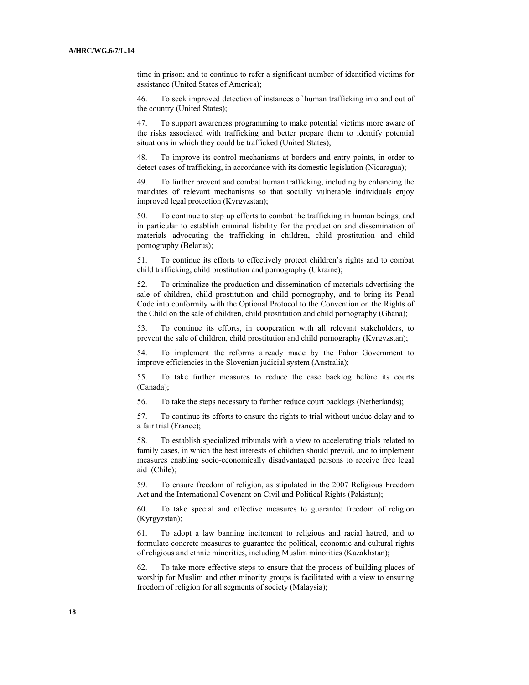time in prison; and to continue to refer a significant number of identified victims for assistance (United States of America);

46. To seek improved detection of instances of human trafficking into and out of the country (United States);

47. To support awareness programming to make potential victims more aware of the risks associated with trafficking and better prepare them to identify potential situations in which they could be trafficked (United States);

48. To improve its control mechanisms at borders and entry points, in order to detect cases of trafficking, in accordance with its domestic legislation (Nicaragua);

49. To further prevent and combat human trafficking, including by enhancing the mandates of relevant mechanisms so that socially vulnerable individuals enjoy improved legal protection (Kyrgyzstan);

50. To continue to step up efforts to combat the trafficking in human beings, and in particular to establish criminal liability for the production and dissemination of materials advocating the trafficking in children, child prostitution and child pornography (Belarus);

51. To continue its efforts to effectively protect children's rights and to combat child trafficking, child prostitution and pornography (Ukraine);

52. To criminalize the production and dissemination of materials advertising the sale of children, child prostitution and child pornography, and to bring its Penal Code into conformity with the Optional Protocol to the Convention on the Rights of the Child on the sale of children, child prostitution and child pornography (Ghana);

53. To continue its efforts, in cooperation with all relevant stakeholders, to prevent the sale of children, child prostitution and child pornography (Kyrgyzstan);

54. To implement the reforms already made by the Pahor Government to improve efficiencies in the Slovenian judicial system (Australia);

55. To take further measures to reduce the case backlog before its courts (Canada);

56. To take the steps necessary to further reduce court backlogs (Netherlands);

57. To continue its efforts to ensure the rights to trial without undue delay and to a fair trial (France);

58. To establish specialized tribunals with a view to accelerating trials related to family cases, in which the best interests of children should prevail, and to implement measures enabling socio-economically disadvantaged persons to receive free legal aid (Chile);

59. To ensure freedom of religion, as stipulated in the 2007 Religious Freedom Act and the International Covenant on Civil and Political Rights (Pakistan);

60. To take special and effective measures to guarantee freedom of religion (Kyrgyzstan);

61. To adopt a law banning incitement to religious and racial hatred, and to formulate concrete measures to guarantee the political, economic and cultural rights of religious and ethnic minorities, including Muslim minorities (Kazakhstan);

62. To take more effective steps to ensure that the process of building places of worship for Muslim and other minority groups is facilitated with a view to ensuring freedom of religion for all segments of society (Malaysia);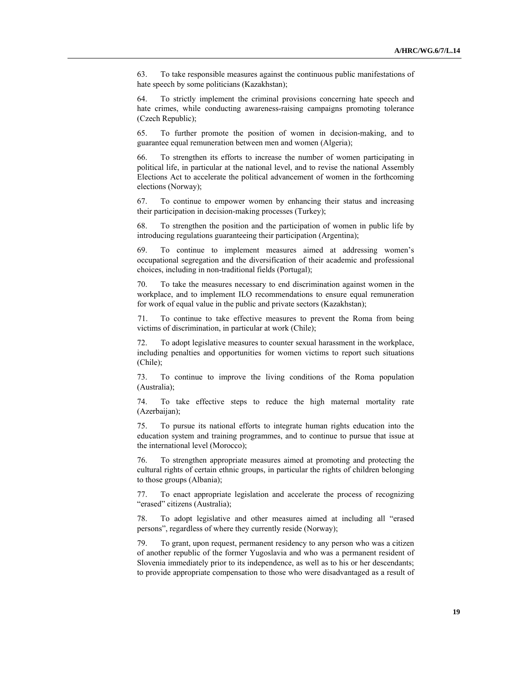63. To take responsible measures against the continuous public manifestations of hate speech by some politicians (Kazakhstan);

64. To strictly implement the criminal provisions concerning hate speech and hate crimes, while conducting awareness-raising campaigns promoting tolerance (Czech Republic);

65. To further promote the position of women in decision-making, and to guarantee equal remuneration between men and women (Algeria);

To strengthen its efforts to increase the number of women participating in political life, in particular at the national level, and to revise the national Assembly Elections Act to accelerate the political advancement of women in the forthcoming elections (Norway);

67. To continue to empower women by enhancing their status and increasing their participation in decision-making processes (Turkey);

68. To strengthen the position and the participation of women in public life by introducing regulations guaranteeing their participation (Argentina);

69. To continue to implement measures aimed at addressing women's occupational segregation and the diversification of their academic and professional choices, including in non-traditional fields (Portugal);

70. To take the measures necessary to end discrimination against women in the workplace, and to implement ILO recommendations to ensure equal remuneration for work of equal value in the public and private sectors (Kazakhstan);

71. To continue to take effective measures to prevent the Roma from being victims of discrimination, in particular at work (Chile);

72. To adopt legislative measures to counter sexual harassment in the workplace, including penalties and opportunities for women victims to report such situations (Chile);

73. To continue to improve the living conditions of the Roma population (Australia);

74. To take effective steps to reduce the high maternal mortality rate (Azerbaijan);

75. To pursue its national efforts to integrate human rights education into the education system and training programmes, and to continue to pursue that issue at the international level (Morocco);

76. To strengthen appropriate measures aimed at promoting and protecting the cultural rights of certain ethnic groups, in particular the rights of children belonging to those groups (Albania);

77. To enact appropriate legislation and accelerate the process of recognizing "erased" citizens (Australia);

78. To adopt legislative and other measures aimed at including all "erased persons", regardless of where they currently reside (Norway);

To grant, upon request, permanent residency to any person who was a citizen of another republic of the former Yugoslavia and who was a permanent resident of Slovenia immediately prior to its independence, as well as to his or her descendants; to provide appropriate compensation to those who were disadvantaged as a result of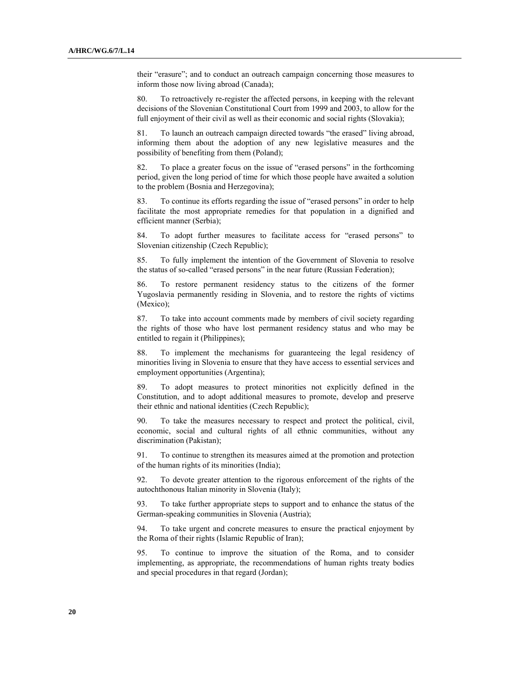their "erasure"; and to conduct an outreach campaign concerning those measures to inform those now living abroad (Canada);

80. To retroactively re-register the affected persons, in keeping with the relevant decisions of the Slovenian Constitutional Court from 1999 and 2003, to allow for the full enjoyment of their civil as well as their economic and social rights (Slovakia);

81. To launch an outreach campaign directed towards "the erased" living abroad, informing them about the adoption of any new legislative measures and the possibility of benefiting from them (Poland);

82. To place a greater focus on the issue of "erased persons" in the forthcoming period, given the long period of time for which those people have awaited a solution to the problem (Bosnia and Herzegovina);

83. To continue its efforts regarding the issue of "erased persons" in order to help facilitate the most appropriate remedies for that population in a dignified and efficient manner (Serbia);

84. To adopt further measures to facilitate access for "erased persons" to Slovenian citizenship (Czech Republic);

85. To fully implement the intention of the Government of Slovenia to resolve the status of so-called "erased persons" in the near future (Russian Federation);

86. To restore permanent residency status to the citizens of the former Yugoslavia permanently residing in Slovenia, and to restore the rights of victims (Mexico);

87. To take into account comments made by members of civil society regarding the rights of those who have lost permanent residency status and who may be entitled to regain it (Philippines);

88. To implement the mechanisms for guaranteeing the legal residency of minorities living in Slovenia to ensure that they have access to essential services and employment opportunities (Argentina);

89. To adopt measures to protect minorities not explicitly defined in the Constitution, and to adopt additional measures to promote, develop and preserve their ethnic and national identities (Czech Republic);

90. To take the measures necessary to respect and protect the political, civil, economic, social and cultural rights of all ethnic communities, without any discrimination (Pakistan);

91. To continue to strengthen its measures aimed at the promotion and protection of the human rights of its minorities (India);

92. To devote greater attention to the rigorous enforcement of the rights of the autochthonous Italian minority in Slovenia (Italy);

93. To take further appropriate steps to support and to enhance the status of the German-speaking communities in Slovenia (Austria);

94. To take urgent and concrete measures to ensure the practical enjoyment by the Roma of their rights (Islamic Republic of Iran);

95. To continue to improve the situation of the Roma, and to consider implementing, as appropriate, the recommendations of human rights treaty bodies and special procedures in that regard (Jordan);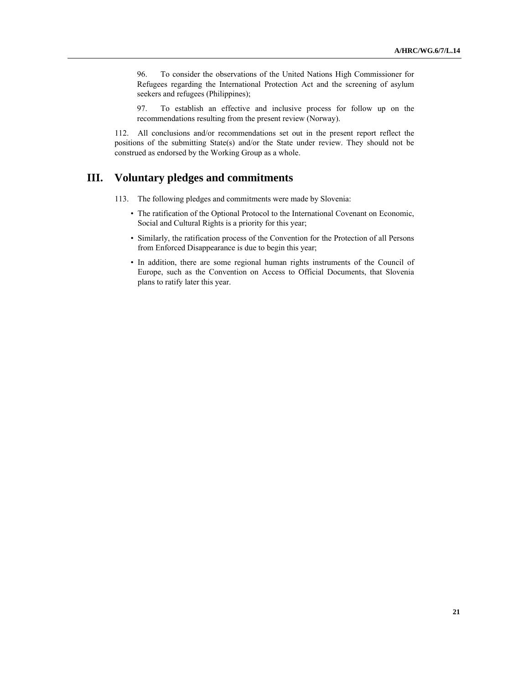96. To consider the observations of the United Nations High Commissioner for Refugees regarding the International Protection Act and the screening of asylum seekers and refugees (Philippines);

97. To establish an effective and inclusive process for follow up on the recommendations resulting from the present review (Norway).

112. All conclusions and/or recommendations set out in the present report reflect the positions of the submitting State(s) and/or the State under review. They should not be construed as endorsed by the Working Group as a whole.

## **III. Voluntary pledges and commitments**

- 113. The following pledges and commitments were made by Slovenia:
	- The ratification of the Optional Protocol to the International Covenant on Economic, Social and Cultural Rights is a priority for this year;
	- Similarly, the ratification process of the Convention for the Protection of all Persons from Enforced Disappearance is due to begin this year;
	- In addition, there are some regional human rights instruments of the Council of Europe, such as the Convention on Access to Official Documents, that Slovenia plans to ratify later this year.